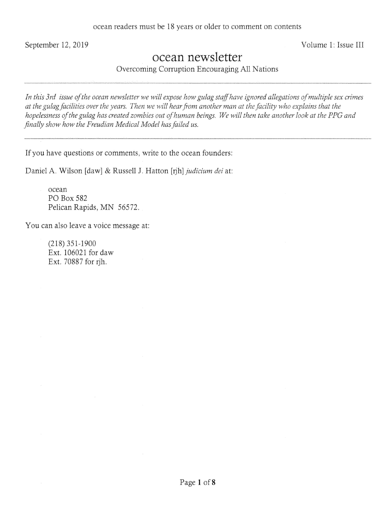September 12, 2019 Volume 1: Issue III

# ocean newsletter

Overcoming Corruption Encouraging All Nations

*In this 3rd issue of the ocean newsletter we will expose how gulag staff have ignored allegations of multiple sex crimes*  at the gulag facilities over the years. Then we will hear from another man at the facility who explains that the *hopelessness of the gulag has created zombies out of human beings. We will then take another look at the PPG and finally show how the Freudian Medical Model has failed us.* 

If you have questions or comments, write to the ocean founders:

Daniel A. Wilson [daw] & Russell J. Hatton [ijh] *judicium dei* at:

ocean P0 Box 582 Pelican Rapids, MN *56572.* 

You can also leave a voice message at:

(218) 351-1900 Ext. 106021 for daw Ext. 70887 for rjh.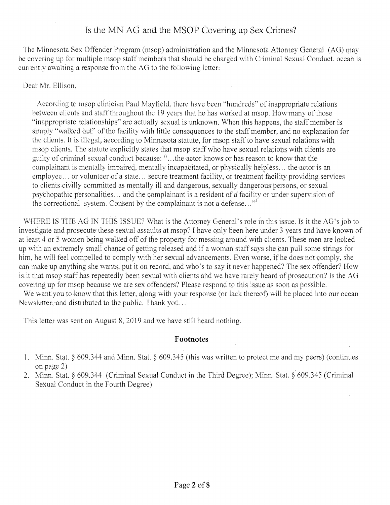### Is the MN AG and the MSOP Covering up Sex Crimes?

The Minnesota Sex Offender Program (msop) administration and the Minnesota Attorney General (AG) may be covering up for multiple msop staff members that should be charged with Criminal Sexual Conduct. ocean *is*  currently awaiting a response from the AG to the following letter:

### Dear Mr. Ellison,

According to msop clinician Paul Mayfield, there have been "hundreds" of inappropriate relations between clients and staff throughout the 19 years that he has worked at msop. How many of those "inappropriate relationships" are actually sexual is unknown. When this happens, the staff member is simply "walked out" of the facility with little consequences to the staff member, and no explanation for the clients. It is illegal, according to Minnesota statute, for msop staff to have sexual relations with msop clients. The statute explicitly states that msop staff who have sexual relations with clients are guilty of criminal sexual conduct because: "...the actor knows or has reason to know that the complainant is mentally impaired, mentally incapacitated, or physically helpless... the actor is an employee.., or volunteer of a state.., secure treatment facility, or treatment facility providing services to clients civilly committed as mentally ill and dangerous, sexually dangerous persons, or sexual psychopathic personalities.., and the complainant is a resident of a facility or under supervision of the correctional system. Consent by the complainant is not a defense..."<sup>1</sup>

WHERE IS THE AG IN THIS ISSUE? What is the Attorney General's role in this issue. Is it the AG's job to investigate and prosecute these sexual assaults at msop? I have only been here under 3 years and have known of at least 4 or *5* women being walked off of the property for messing around with clients. These men are locked up with an extremely small chance of getting released and if a woman staff says she can pull some strings for him, he will feel compelled to comply with her sexual advancements. Even worse, if he does not comply, she can make up anything she wants, put it on record, and who's to say it never happened? The sex offender? How is it that msop staff has repeatedly been sexual with clients and we have rarely heard of prosecution? Is the AG covering up for msop because we are sex offenders? Please respond to this issue as soon as possible.

We want you to know that this letter, along with your response (or lack thereof) will be placed into our ocean Newsletter, and distributed to the public. Thank you...

This letter was sent on August 8, 2019 and we have still heard nothing.

#### **Footnotes**

- 1. Minn. Stat. § 609.344 and Minn. Stat. § *609.345* (this was written to protect me and my peers) (continues on page 2)
- 2. Minn. Stat. § 609.344 (Criminal Sexual Conduct in the Third Degree); Minn. Stat. § 609.345 (Criminal Sexual Conduct in the Fourth Degree)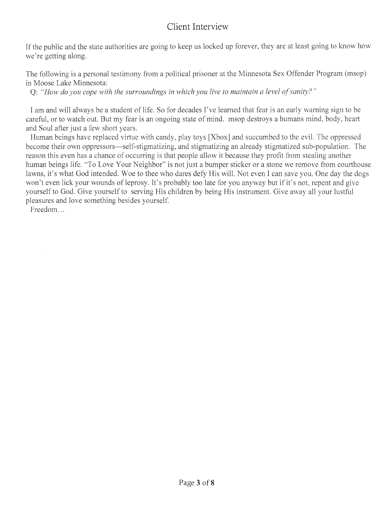### Client Interview

If the public and the state authorities are going to keep us locked up forever, they are at least going to know how we're getting along.

The following is a personal testimony from a political prisoner at the Minnesota Sex Offender Program (msop in Moose Lake Minnesota:

Q: *"How do you cope with the surroundings in which you live to maintain a level of sanity?"* 

I am and will always be a student of life. So for decades I've learned that fear is an early warning sign to be careful, or to watch out. But my fear is an ongoing state of mind. msop destroys a humans mind, body, heart and Soul after just a few short years.

Human beings have replaced virtue with candy, play toys [Xbox] and succumbed to the evil. The oppressed become their own oppressors—self-stigmatizing, and stigmatizing an already stigmatized sub-population. The reason this even has a chance of occurring is that people allow it because they profit from stealing another human beings life. "To Love Your Neighbor" is not just a bumper sticker or a stone we remove from courthouse lawns, it's what God intended. Woe to thee who dares defy His will. Not even I can save you. One day the dogs won't even lick your wounds of leprosy. It's probably too late for you anyway but if it's not, repent and give yourself to God. Give yourself to serving His children by being His instrument. Give away all your lustful pleasures and love something besides yourself.

Freedom...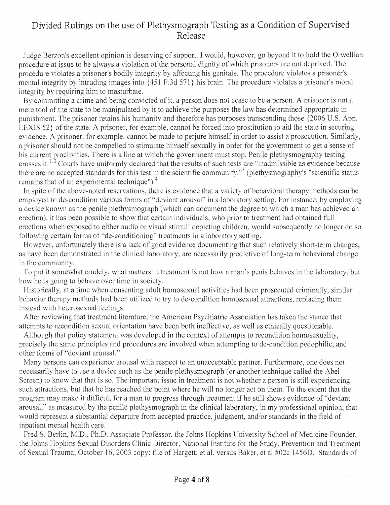### Divided Rulings on the use of Plethysmograph Testing as a Condition of Supervised Release

Judge Berzon's excellent opinion is deserving of support. I would, however, go beyond it to hold the Orwellian procedure at issue to be always a violation of the personal dignity of which prisoners are not deprived. The procedure violates a prisoner's bodily integrity by affecting his genitals. The procedure violates a prisoner's mental integrity by intruding images into *(451* F.3d 571 ) his brain. The procedure violates a prisoner's moral integrity by requiring him to masturbate.

By committing a crime and being convicted of it, a person does not cease to be a person. A prisoner is not a mere tool of the state to be manipulated by it to achieve the purposes the law has determined appropriate in punishment. The prisoner retains his humanity and therefore has purposes transcending those 12006 U.S. App. LEXIS *52)* of the state. A prisoner, for example, cannot be forced into prostitution to aid the state in securing evidence. A prisoner, for example, cannot be made to perjure himself in order to assist a prosecution. Similarly, a prisoner should not be compelled to stimulate himself sexually in order for the government to get a sense of his current proclivities. There is a line at which the government must stop. Penile plethysmography testing crosses it.<sup>1, 2</sup> Courts have uniformly declared that the results of such tests are "inadmissible as evidence because there are no accepted standards for this test in the scientific community."<sup>3</sup> (plethysmography's "scientific status remains that of an experimental technique"). $4$ 

In spite of the above-noted reservations, there is evidence that a variety of behavioral therapy methods can be employed to de-condition various forms of "deviant arousal" in a laboratory setting. For instance, by employing a device known as the penile plethysmograph (which can document the degree to which a man has achieved an erection), it has been possible to show that certain individuals, who prior to treatment had obtained full erections when exposed to either audio or visual stimuli depicting children, would subsequently no longer do so following certain forms of "de-conditioning" treatments in a laboratory setting.

However, unfortunately there is a lack of good evidence documenting that such relatively short-term changes, as have been demonstrated in the clinical laboratory, are necessarily predictive of long-term behavioral change in the community.

To put it somewhat crudely, what matters in treatment is not how a man's penis behaves in the laboratory, but how he is going to behave over time in society.

Historically, at a time when consenting adult homosexual activities had been prosecuted criminally, similar behavior therapy methods had been utilized to try to de-condition homosexual attractions, replacing them instead with heterosexual feelings.

After reviewing that treatment literature, the American Psychiatric Association has taken the stance that attempts to recondition sexual orientation have been both ineffective, as well as ethically questionable.

Although that policy statement was developed in the context of attempts to recondition homosexuality, precisely the same principles and procedures are involved when attempting to de-condition pedophilic, and other forms of "deviant arousal."

Many persons can experience arousal with respect to an unacceptable partner. Furthermore, one does not necessarily have to use a device such as the penile plethysmograph (or another technique called the Abel Screen) to know that that is so. The important issue in treatment is not whether a person is still experiencing such attractions, but that he has reached the point where he will no longer act on them. To the extent that the program may make it difficult for a man to progress through treatment if he still shows evidence of "deviant arousal," as measured by the penile plethysmograph in the clinical laboratory, in my professional opinion, that would represent a substantial departure from accepted practice, judgment, and/or standards in the field of inpatient mental health care.

Fred S. Berlin, M.D., Ph.D. Associate Professor, the Johns Hopkins University School of Medicine Founder, the Johns Hopkins Sexual Disorders Clinic Director, National Institute for the Study, Prevention and Treatment of Sexual Trauma; October 16, 2003 copy: file of Hargett, et al. versus Baker, et al #02c 1456D. Standards of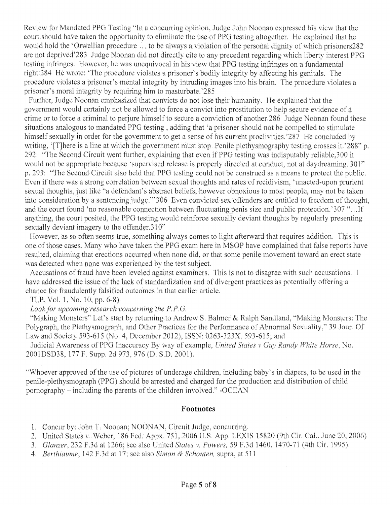Review for Mandated PPG Testing "In a concurring opinion, Judge John Noonan expressed his view that the court should have taken the opportunity to eliminate the use of PPG testing altogether. He explained that he would hold the 'Orwellian procedure ... to be always a violation of the personal dignity of which prisoners282 are not deprived'283 Judge Noonan did not directly cite to any precedent regarding which liberty interest PPG testing infringes. However, he was unequivocal in his view that PPG testing infringes on a fundamental right.284 He wrote: 'The procedure violates a prisoner's bodily integrity by affecting his genitals. The procedure violates a prisoner's mental integrity by intruding images into his brain. The procedure violates a prisoner's moral integrity by requiring him to masturbate.'285

Further, Judge Noonan emphasized that convicts do not lose their humanity. He explained that the government would certainly not be allowed to force a convict into prostitution to help secure evidence of a crime or to force a criminal to perjure himself to secure a conviction of another.286 Judge Noonan found these situations analogous to mandated PPG testing, adding that 'a prisoner should not be compelled to stimulate himself sexually in order for the government to get a sense of his current proclivities.'287 He concluded by writing, '[T]here is a line at which the government must stop. Penile plethysmography testing crosses it.'288" p. 292: "The Second Circuit went further, explaining that even if PPG testing was indisputably reliable,300 it would not be appropriate because 'supervised release is properly directed at conduct, not at daydreaming.'3 01" p. 293: "The Second Circuit also held that PPG testing could not be construed as a means to protect the public. Even if there was a strong correlation between sexual thoughts and rates of recidivism, 'unacted-upon prurient sexual thoughts, just like "a defendant's abstract beliefs, however obnoxious to most people, may not be taken into consideration by a sentencing judge."' 306 Even convicted sex offenders are entitled to freedom of thought, and the court found 'no reasonable connection between fluctuating penis size and public protection.'307 "...If anything, the court posited, the PPG testing would reinforce sexually deviant thoughts by regularly presenting sexually deviant imagery to the offender.310"

However, as so often seems true, something always comes to light afterward that requires addition. This is one of those cases. Many who have taken the PPG exam here in MSOP have complained that false reports have resulted, claiming that erections occurred when none did, or that some penile movement toward an erect state was detected when none was experienced by the test subject.

Accusations of fraud have been leveled against examiners. This is not to disagree with such accusations. I have addressed the issue of the lack of standardization and of divergent practices as potentially offering a chance for fraudulently falsified outcomes in that earlier article.

TLP, Vol. 1, No. 10, pp. 6-8).

#### *Look for upcoming research concerning the P. P. G.*

"Making Monsters" Let's start by returning to Andrew S. Balmer & Ralph Sandland, "Making Monsters: The Polygraph, the Plethysmograph, and Other Practices for the Performance of Abnormal Sexuality," 39 Jour. Of Law and Society *593-615* (No. 4, December 2012), ISSN: 0263-323X, *593-615;* and

Judicial Awareness of PPG Inaccuracy By way of example, *United States v Guy Randy White Horse, No.*  2001DSD38, 177 F. Supp. 2d 973, 976 (D. S.D. 2001).

"Whoever approved of the use of pictures of underage children, including baby's in diapers, to be used in the penile-plethysmograph (PPG) should be arrested and charged for the production and distribution of child pornography - including the parents of the children involved." -OCEAN

#### **Footnotes**

- 1. Concur by: John T. Noonan; NOONAN, Circuit Judge, concurring.
- 2. United States v. Weber, 186 Fed; Appx. 751, 2006 U.S. App. LEXIS 15820 (9th Cir. Cal., June 20, 2006)
- *3. Glanzer,* 232 F.3d at 1266; see also United *States v. Powers,* 59 F.3d 1460, 1470-71 (4th Cir. 1995).
- *4. Berthiaume,* 142 F.3d at 17; see also *Simon & Schouten,* supra, at 511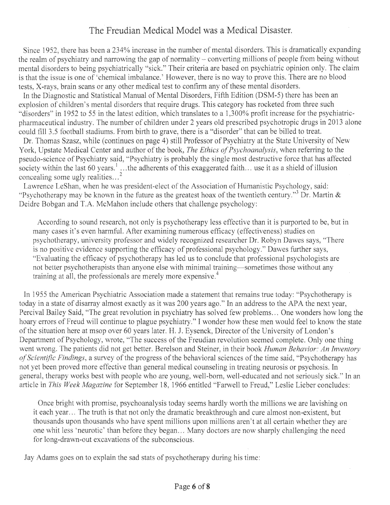## The Freudian Medical Model was a Medical Disaster.

Since 1952, there has been a 234% increase in the number of mental disorders. This is dramatically expanding the realm of psychiatry and narrowing the gap of normality - converting millions of people from being without mental disorders to being psychiatrically "sick." Their criteria are based on psychiatric opinion only. The claim is that the issue is one of 'chemical imbalance.' However, there is no way to prove this. There are no blood• tests, X-rays, brain scans or any other medical test to confirm any of these mental disorders.

In the Diagnostic and Statistical Manual of Mental Disorders, Fifth Edition *(DSM-5)* there has been an explosion of children's mental disorders that require drugs. This category has rocketed from three such "disorders" in 1952 to *55* in the latest edition, which translates to a 1,300% profit increase for the psychiatricpharmaceutical industry. The number of children under 2 years old prescribed psychotropic drugs in 2013 alone could fill *3.5* football stadiums. From birth to grave, there is a "disorder" that can be billed to treat.

Dr. Thomas Szasz, while (continues on page 4) still Professor of Psychiatry at the State University of New York, Upstate Medical Center and author of the book, *The Ethics of Psychoanalysis,* when referring to the pseudo-science of Psychiatry said, "Psychiatry is probably the single most destructive force that has affected society within the last 60 years.' ...the adherents of this exaggerated faith... use it as a shield of illusion concealing some ugly realities..

Lawrence LeShan, when he was president-elect of the Association of Humanistic Psychology, said: "Psychotherapy may be known in the future as the greatest hoax of the twentieth century."<sup>3</sup> Dr. Martin  $\&$ Deidre Bobgan and T.A. McMahon include others that challenge psychology:

According to sound research, not only is psychotherapy less effective than it is purported to be, but in. many cases it's even harmful. After examining numerous efficacy (effectiveness) studies on psychotherapy, university professor and widely recognized researcher Dr. Robyn Dawes says, "There is no positive evidence supporting the efficacy of professional psychology." Dawes further says, "Evaluating the efficacy of psychotherapy has led us to conclude that professional psychologists are not better psychotherapists than anyone else with minimal training—sometimes those without any training at all, the professionals are merely more expensive.<sup>4</sup>

In 1955 the American Psychiatric Association made a statement that remains true today: "Psychotherapy is today in a state of disarray almost exactly as it was 200 years ago." In an address to the APA the next year, Percival Bailey Said, "The great revolution in psychiatry has solved few problems... One wonders how long the hoary errors of Freud will continue to plague psychiatry." I wonder how these men would feel to know the state of the situation here at msop over 60 years later. H. J. Eysenck, Director of the University of London's Department of Psychology, wrote, "The success of the Freudian revolution seemed complete. Only one thing went wrong. The patients did not get better. Berelson and Steiner, in their book *Human Behavior: An Inventory of Scientific Findings,* a survey of the progress of the behavioral sciences of the time said, "Psychotherapy has not yet been proved more effective than general medical counseling in treating neurosis or psychosis. In general, therapy works best with people who are young, well-born, well-educated and not seriously sick." In an article in *This Week Magazine* for September 18, 1966 entitled "Farwell to Freud," Leslie Lieber concludes:

Once bright with promise, psychoanalysis today seems hardly worth the millions we are lavishing on it each year... The truth is that not only the dramatic breakthrough and cure almost non-existent, but thousands upon thousands who have spent millions upon millions aren't at all certain whether they are• one whit less 'neurotic' than before they began... Many doctors are now sharply challenging the need for long-drawn-out excavations of the subconscious.

Jay Adams goes on to explain the sad stats of psychotherapy during his time: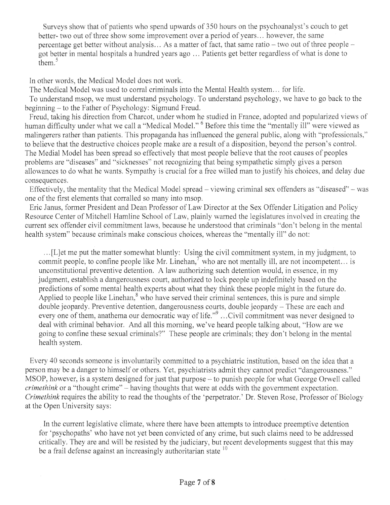Surveys show that of patients who spend upwards of 350 hours on the psychoanalyst's couch to get better- two out of three show some improvement over a period of years... however, the same percentage get better without analysis... As a matter of fact, that same ratio - two out of three people got better in mental hospitals a hundred years ago ... Patients get better regardless of what is done to them. $5$ 

In other words, the Medical Model does not work.

The Medical Model was used to corral criminals into the Mental Health system... for life. To understand msop, we must understand psychology. To understand psychology, we have to go back to the beginning - to the Father of Psychology: Sigmund Freud.

Freud, taking his direction from Chareot, under whom he studied in France, adopted and popularized views of human difficulty under what we call a "Medical Model." <sup>6</sup> Before this time the "mentally ill" were viewed as malingerers rather than patients. This propaganda has influenced the general public, along with "professionals," to believe that the destructive choices people make are a result of a disposition, beyond the person's control. The Medial Model has been spread so effectively that most people believe that the root causes of peoples problems are "diseases" and "sicknesses" not recognizing that being sympathetic simply gives a person allowances to do what he wants. Sympathy is crucial for a free willed man to justify his choices, and delay due consequences.

Effectively, the mentality that the Medical Model spread - viewing criminal sex offenders as "diseased" - was one of the first elements that corralled so many into msop.

Eric Janus, former President and Dean Professor of Law Director at the Sex Offender Litigation and Policy Resource Center of Mitchell Hamline School of Law, plainly warned the legislatures involved in creating the current sex offender civil commitment laws, because he understood that criminals "don't belong in the mental health system" because criminals make conscious choices, whereas the "mentally ill" do not:

[L]et me put the matter somewhat bluntly: Using the civil commitment system, in my judgment, to commit people, to confine people like Mr. Linehan,<sup>7</sup> who are not mentally ill, are not incompetent... is unconstitutional preventive detention. A law authorizing such detention would, in essence, in my judgment, establish a dangerousness court, authorized to lock people up indefinitely based on the predictions of some mental health experts about what they think these people might in the future do. Applied to people like Linehan, $\delta$  who have served their criminal sentences, this is pure and simple double jeopardy. Preventive detention, dangerousness courts, double jeopardy - These are each and every one of them, anathema our democratic way of life."<sup>9</sup>...Civil commitment was never designed to deal with criminal behavior. And all this morning, we've heard people talking about, "How are we going to confine these sexual criminals?" These people are criminals; they don't belong in the mental health system.

Every 40 seconds someone is involuntarily committed to a psychiatric institution, based on the idea that a person may be a danger to himself or others. Yet, psychiatrists admit they cannot predict "dangerousness." MSOP, however, is a system designed for just that purpose - to punish people for what George Orwell called *crimethink* or a "thought crime" - having thoughts that were at odds with the government expectation. *Crimethink* requires the ability to read the thoughts of the 'perpetrator.' Dr. Steven Rose, Professor of Biology at the Open University says:

In the current legislative climate, where there have been attempts to introduce preemptive detention for 'psychopaths' who have not yet been convicted of any crime, but such claims need to be addressed critically. They are and will be resisted by the judiciary, but recent developments suggest that this may be a frail defense against an increasingly authoritarian state  $10$